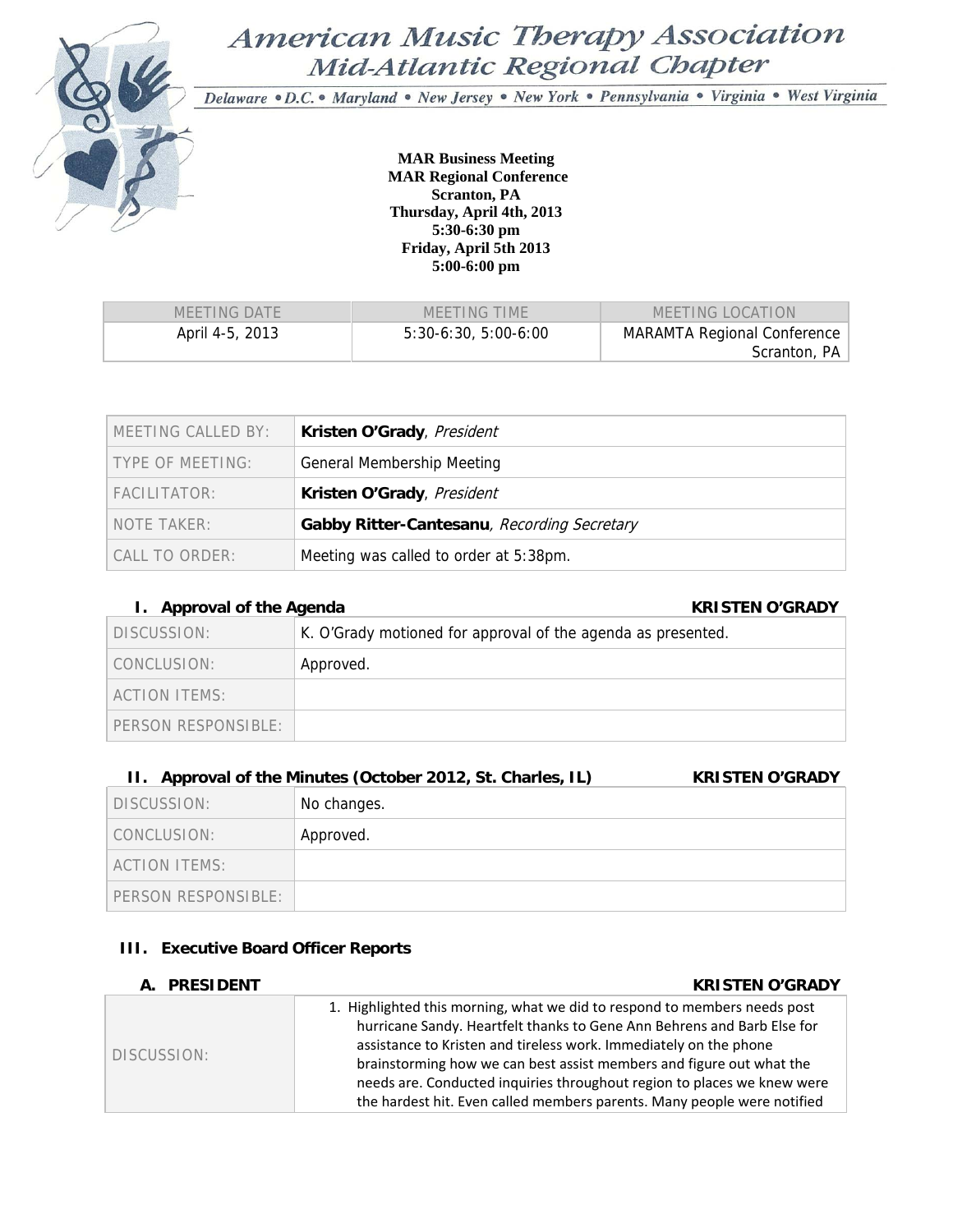

# American Music Therapy Association Mid-Atlantic Regional Chapter

Delaware . D.C. . Maryland . New Jersey . New York . Pennsylvania . Virginia . West Virginia

**MAR Business Meeting MAR Regional Conference Scranton, PA Thursday, April 4th, 2013 5:30-6:30 pm Friday, April 5th 2013 5:00-6:00 pm** 

| MEETING DATE    | MEETING TIME          | MEETING LOCATION                                   |
|-----------------|-----------------------|----------------------------------------------------|
| April 4-5, 2013 | $5:30-6:30.5:00-6:00$ | <b>MARAMTA Regional Conference</b><br>Scranton, PA |

| MEETING CALLED BY: | Kristen O'Grady, President                  |
|--------------------|---------------------------------------------|
| TYPE OF MEETING:   | <b>General Membership Meeting</b>           |
| FACHITATOR:        | Kristen O'Grady, President                  |
| NOTE TAKER:        | Gabby Ritter-Cantesanu, Recording Secretary |
| CALL TO ORDER:     | Meeting was called to order at 5:38pm.      |

# **I.** Approval of the Agenda **KRISTEN O'GRADY**

| $\cdots$ $\cdots$ $\cdots$ $\cdots$ $\cdots$ $\cdots$ | .                                                            |
|-------------------------------------------------------|--------------------------------------------------------------|
| DISCUSSION:                                           | K. O'Grady motioned for approval of the agenda as presented. |
| CONCLUSION:                                           | Approved.                                                    |
| ACTION ITEMS:                                         |                                                              |
| PERSON RESPONSIBLE:                                   |                                                              |
|                                                       |                                                              |

# **II.** Approval of the Minutes (October 2012, St. Charles, IL) KRISTEN O'GRADY

| DISCUSSION:         | No changes. |
|---------------------|-------------|
| CONCLUSION:         | Approved.   |
| ACTION ITEMS:       |             |
| PERSON RESPONSIBLE: |             |

### **III. Executive Board Officer Reports**

| A. PRESIDENT | <b>KRISTEN O'GRADY</b>                                                                                                                                                                                                                                                                                                                                                                                                                                  |
|--------------|---------------------------------------------------------------------------------------------------------------------------------------------------------------------------------------------------------------------------------------------------------------------------------------------------------------------------------------------------------------------------------------------------------------------------------------------------------|
| DISCUSSION:  | 1. Highlighted this morning, what we did to respond to members needs post<br>hurricane Sandy. Heartfelt thanks to Gene Ann Behrens and Barb Else for<br>assistance to Kristen and tireless work. Immediately on the phone<br>brainstorming how we can best assist members and figure out what the<br>needs are. Conducted inquiries throughout region to places we knew were<br>the hardest hit. Even called members parents. Many people were notified |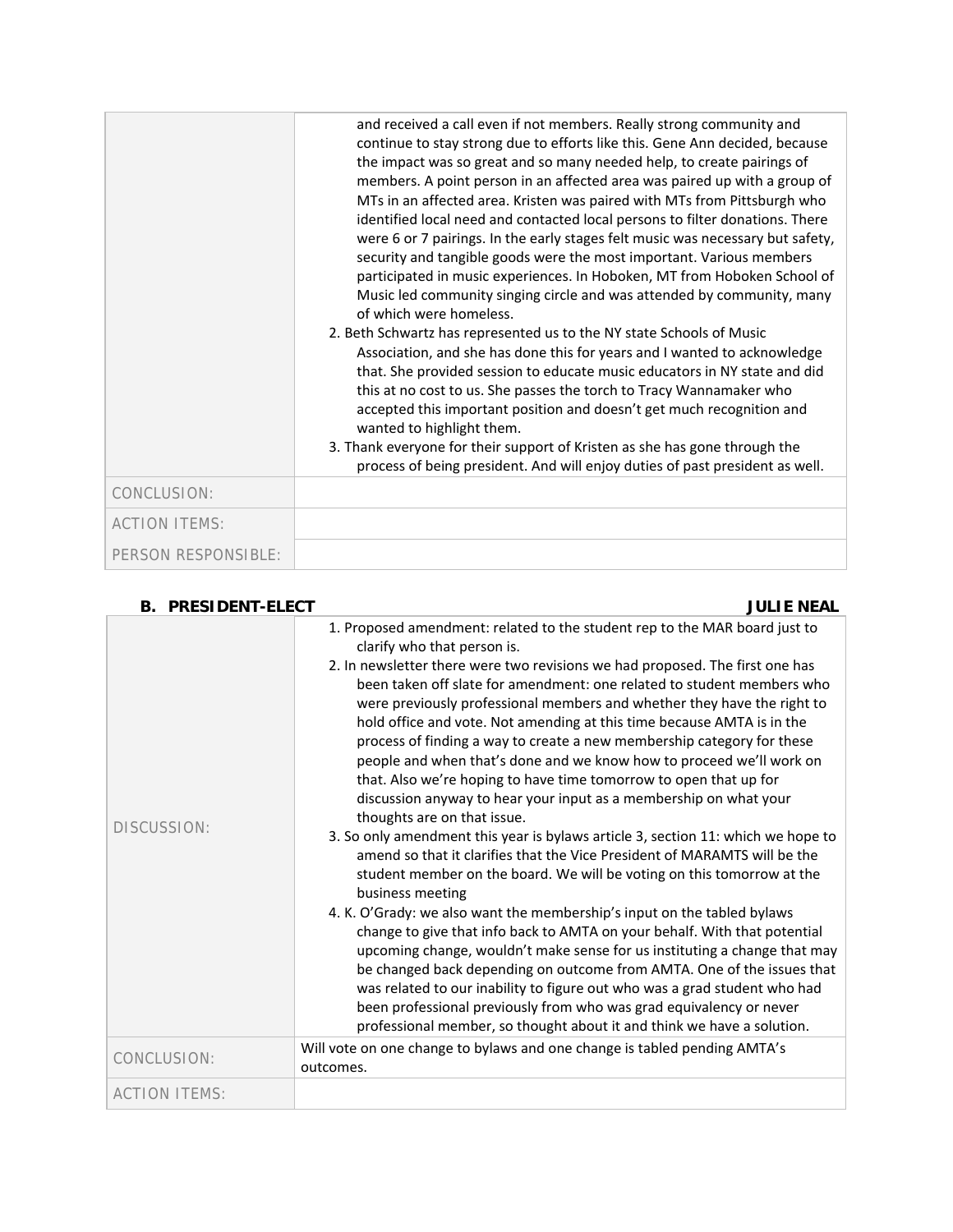|                      | and received a call even if not members. Really strong community and<br>continue to stay strong due to efforts like this. Gene Ann decided, because<br>the impact was so great and so many needed help, to create pairings of<br>members. A point person in an affected area was paired up with a group of<br>MTs in an affected area. Kristen was paired with MTs from Pittsburgh who<br>identified local need and contacted local persons to filter donations. There<br>were 6 or 7 pairings. In the early stages felt music was necessary but safety,<br>security and tangible goods were the most important. Various members<br>participated in music experiences. In Hoboken, MT from Hoboken School of<br>Music led community singing circle and was attended by community, many<br>of which were homeless.<br>2. Beth Schwartz has represented us to the NY state Schools of Music<br>Association, and she has done this for years and I wanted to acknowledge<br>that. She provided session to educate music educators in NY state and did<br>this at no cost to us. She passes the torch to Tracy Wannamaker who<br>accepted this important position and doesn't get much recognition and<br>wanted to highlight them.<br>3. Thank everyone for their support of Kristen as she has gone through the<br>process of being president. And will enjoy duties of past president as well. |
|----------------------|-----------------------------------------------------------------------------------------------------------------------------------------------------------------------------------------------------------------------------------------------------------------------------------------------------------------------------------------------------------------------------------------------------------------------------------------------------------------------------------------------------------------------------------------------------------------------------------------------------------------------------------------------------------------------------------------------------------------------------------------------------------------------------------------------------------------------------------------------------------------------------------------------------------------------------------------------------------------------------------------------------------------------------------------------------------------------------------------------------------------------------------------------------------------------------------------------------------------------------------------------------------------------------------------------------------------------------------------------------------------------------------------------|
| CONCLUSION:          |                                                                                                                                                                                                                                                                                                                                                                                                                                                                                                                                                                                                                                                                                                                                                                                                                                                                                                                                                                                                                                                                                                                                                                                                                                                                                                                                                                                               |
| <b>ACTION ITEMS:</b> |                                                                                                                                                                                                                                                                                                                                                                                                                                                                                                                                                                                                                                                                                                                                                                                                                                                                                                                                                                                                                                                                                                                                                                                                                                                                                                                                                                                               |
| PERSON RESPONSIBLE:  |                                                                                                                                                                                                                                                                                                                                                                                                                                                                                                                                                                                                                                                                                                                                                                                                                                                                                                                                                                                                                                                                                                                                                                                                                                                                                                                                                                                               |

| <b>RESIDENT-ELECT</b> |  |
|-----------------------|--|
|-----------------------|--|

**JULIE NEAL** 

| DISCUSSION:          | 1. Proposed amendment: related to the student rep to the MAR board just to<br>clarify who that person is.<br>2. In newsletter there were two revisions we had proposed. The first one has<br>been taken off slate for amendment: one related to student members who<br>were previously professional members and whether they have the right to<br>hold office and vote. Not amending at this time because AMTA is in the<br>process of finding a way to create a new membership category for these<br>people and when that's done and we know how to proceed we'll work on<br>that. Also we're hoping to have time tomorrow to open that up for<br>discussion anyway to hear your input as a membership on what your<br>thoughts are on that issue.<br>3. So only amendment this year is bylaws article 3, section 11: which we hope to<br>amend so that it clarifies that the Vice President of MARAMTS will be the<br>student member on the board. We will be voting on this tomorrow at the<br>business meeting<br>4. K. O'Grady: we also want the membership's input on the tabled bylaws<br>change to give that info back to AMTA on your behalf. With that potential<br>upcoming change, wouldn't make sense for us instituting a change that may<br>be changed back depending on outcome from AMTA. One of the issues that<br>was related to our inability to figure out who was a grad student who had<br>been professional previously from who was grad equivalency or never<br>professional member, so thought about it and think we have a solution. |
|----------------------|-----------------------------------------------------------------------------------------------------------------------------------------------------------------------------------------------------------------------------------------------------------------------------------------------------------------------------------------------------------------------------------------------------------------------------------------------------------------------------------------------------------------------------------------------------------------------------------------------------------------------------------------------------------------------------------------------------------------------------------------------------------------------------------------------------------------------------------------------------------------------------------------------------------------------------------------------------------------------------------------------------------------------------------------------------------------------------------------------------------------------------------------------------------------------------------------------------------------------------------------------------------------------------------------------------------------------------------------------------------------------------------------------------------------------------------------------------------------------------------------------------------------------------------------------------------------|
| CONCLUSION:          | Will vote on one change to bylaws and one change is tabled pending AMTA's<br>outcomes.                                                                                                                                                                                                                                                                                                                                                                                                                                                                                                                                                                                                                                                                                                                                                                                                                                                                                                                                                                                                                                                                                                                                                                                                                                                                                                                                                                                                                                                                          |
| <b>ACTION ITEMS:</b> |                                                                                                                                                                                                                                                                                                                                                                                                                                                                                                                                                                                                                                                                                                                                                                                                                                                                                                                                                                                                                                                                                                                                                                                                                                                                                                                                                                                                                                                                                                                                                                 |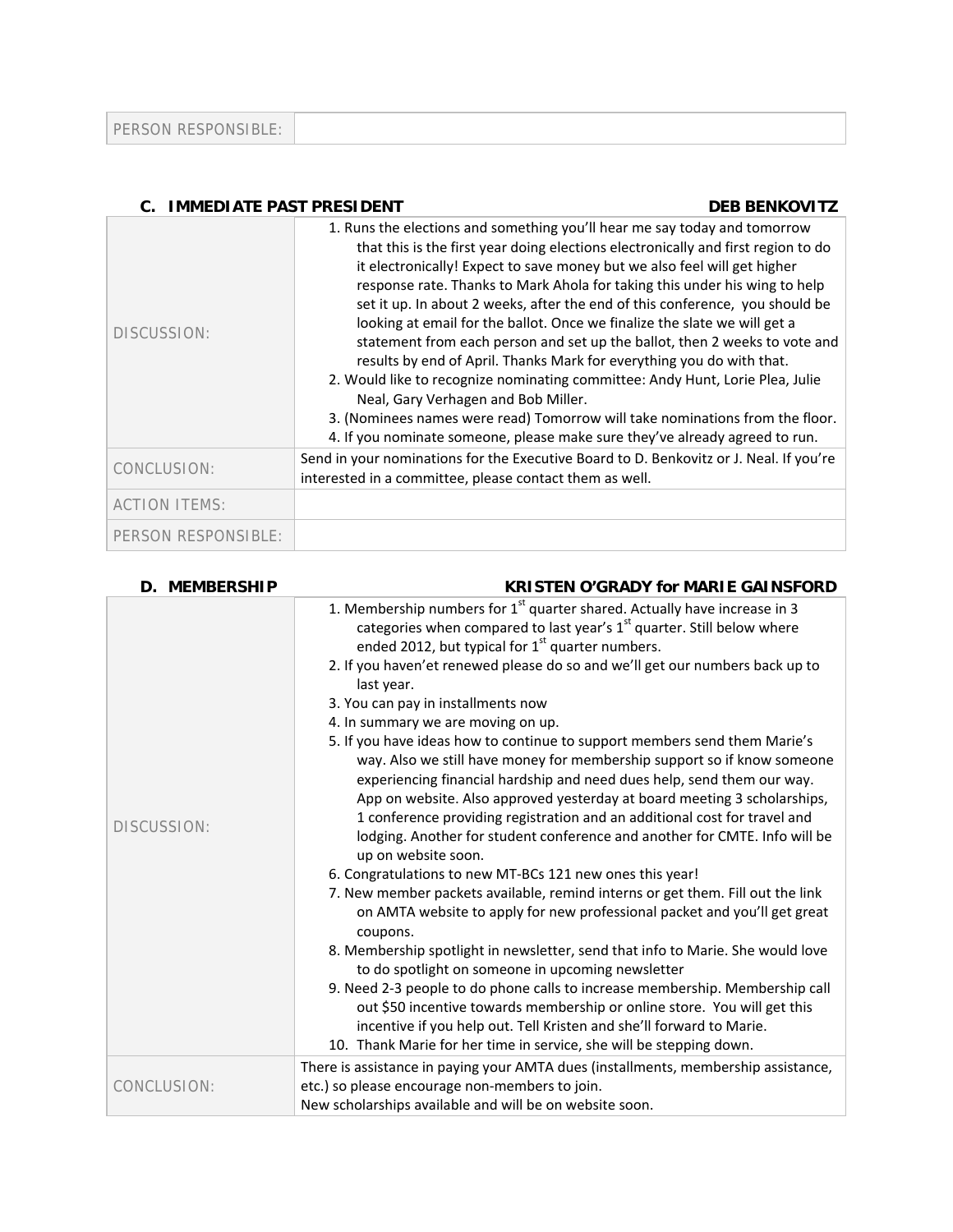| PERSON RESPONSIBLE: |  |
|---------------------|--|
|---------------------|--|

| <b>C. IMMEDIATE PAST PRESIDENT</b> | <b>DEB BENKOVITZ</b>                                                                                                                                                                                                                                                                                                                                                                                                                                                                                                                                                                                                                                                                                                                                                                                                                                                                                                                |
|------------------------------------|-------------------------------------------------------------------------------------------------------------------------------------------------------------------------------------------------------------------------------------------------------------------------------------------------------------------------------------------------------------------------------------------------------------------------------------------------------------------------------------------------------------------------------------------------------------------------------------------------------------------------------------------------------------------------------------------------------------------------------------------------------------------------------------------------------------------------------------------------------------------------------------------------------------------------------------|
| DISCUSSION:                        | 1. Runs the elections and something you'll hear me say today and tomorrow<br>that this is the first year doing elections electronically and first region to do<br>it electronically! Expect to save money but we also feel will get higher<br>response rate. Thanks to Mark Ahola for taking this under his wing to help<br>set it up. In about 2 weeks, after the end of this conference, you should be<br>looking at email for the ballot. Once we finalize the slate we will get a<br>statement from each person and set up the ballot, then 2 weeks to vote and<br>results by end of April. Thanks Mark for everything you do with that.<br>2. Would like to recognize nominating committee: Andy Hunt, Lorie Plea, Julie<br>Neal, Gary Verhagen and Bob Miller.<br>3. (Nominees names were read) Tomorrow will take nominations from the floor.<br>4. If you nominate someone, please make sure they've already agreed to run. |
| CONCLUSION:                        | Send in your nominations for the Executive Board to D. Benkovitz or J. Neal. If you're<br>interested in a committee, please contact them as well.                                                                                                                                                                                                                                                                                                                                                                                                                                                                                                                                                                                                                                                                                                                                                                                   |
| <b>ACTION ITEMS:</b>               |                                                                                                                                                                                                                                                                                                                                                                                                                                                                                                                                                                                                                                                                                                                                                                                                                                                                                                                                     |
| PERSON RESPONSIBLE:                |                                                                                                                                                                                                                                                                                                                                                                                                                                                                                                                                                                                                                                                                                                                                                                                                                                                                                                                                     |

| <b>D. MEMBERSHIP</b> | <b>KRISTEN O'GRADY for MARIE GAINSFORD</b>                                                                                                                                                                                                                                                                                                                                                                                                                                                                                                                                    |
|----------------------|-------------------------------------------------------------------------------------------------------------------------------------------------------------------------------------------------------------------------------------------------------------------------------------------------------------------------------------------------------------------------------------------------------------------------------------------------------------------------------------------------------------------------------------------------------------------------------|
|                      | 1. Membership numbers for 1 <sup>st</sup> quarter shared. Actually have increase in 3<br>categories when compared to last year's 1 <sup>st</sup> quarter. Still below where<br>ended 2012, but typical for 1 <sup>st</sup> quarter numbers.<br>2. If you haven'et renewed please do so and we'll get our numbers back up to<br>last year.<br>3. You can pay in installments now<br>4. In summary we are moving on up.<br>5. If you have ideas how to continue to support members send them Marie's<br>way. Also we still have money for membership support so if know someone |
| DISCUSSION:          | experiencing financial hardship and need dues help, send them our way.<br>App on website. Also approved yesterday at board meeting 3 scholarships,<br>1 conference providing registration and an additional cost for travel and<br>lodging. Another for student conference and another for CMTE. Info will be<br>up on website soon.<br>6. Congratulations to new MT-BCs 121 new ones this year!<br>7. New member packets available, remind interns or get them. Fill out the link<br>on AMTA website to apply for new professional packet and you'll get great               |
|                      | coupons.<br>8. Membership spotlight in newsletter, send that info to Marie. She would love<br>to do spotlight on someone in upcoming newsletter                                                                                                                                                                                                                                                                                                                                                                                                                               |
|                      | 9. Need 2-3 people to do phone calls to increase membership. Membership call<br>out \$50 incentive towards membership or online store. You will get this<br>incentive if you help out. Tell Kristen and she'll forward to Marie.<br>10. Thank Marie for her time in service, she will be stepping down.                                                                                                                                                                                                                                                                       |
| CONCLUSION:          | There is assistance in paying your AMTA dues (installments, membership assistance,<br>etc.) so please encourage non-members to join.<br>New scholarships available and will be on website soon.                                                                                                                                                                                                                                                                                                                                                                               |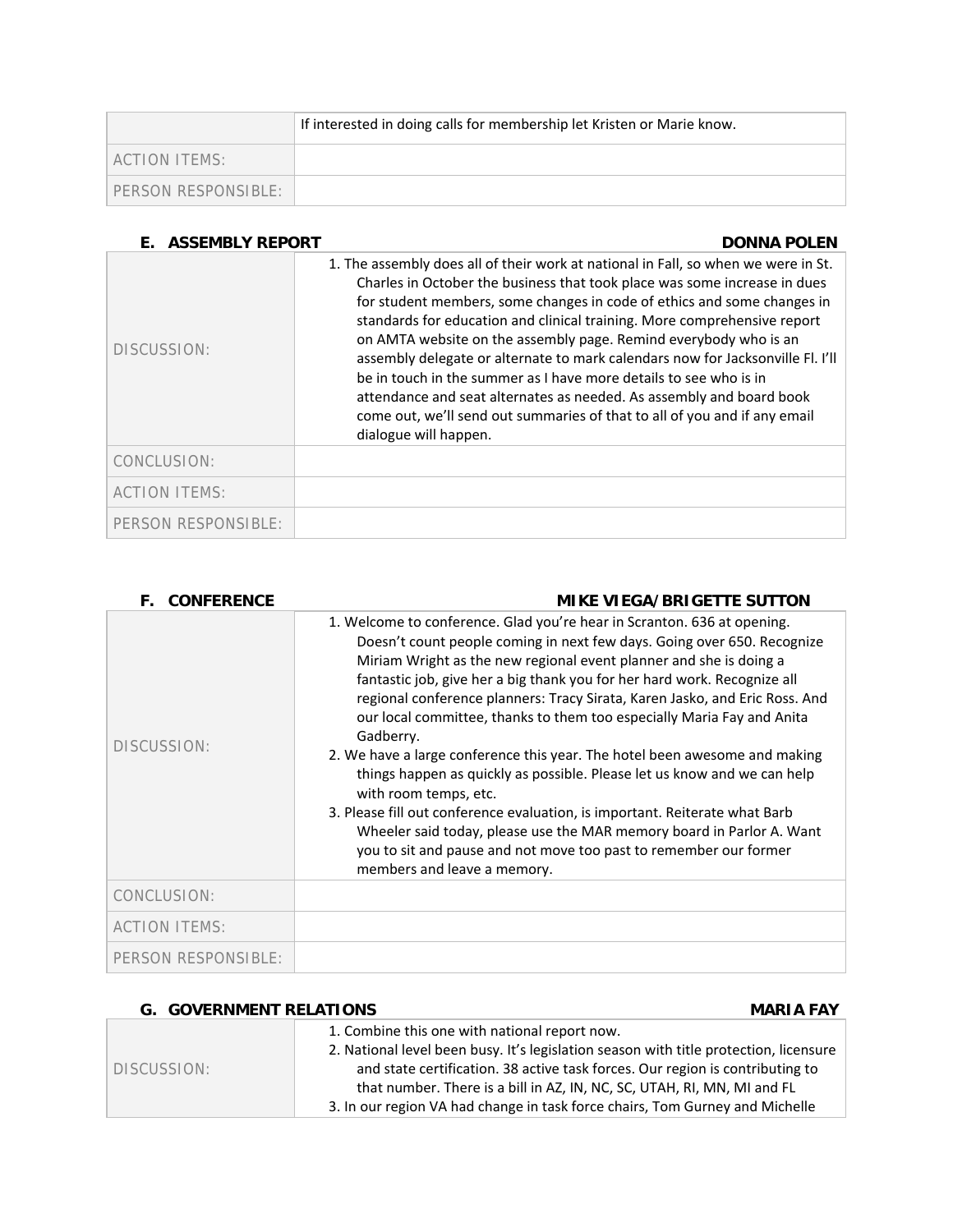|                     | If interested in doing calls for membership let Kristen or Marie know. |
|---------------------|------------------------------------------------------------------------|
| LACTION ITEMS:      |                                                                        |
| PERSON RESPONSIBLE: |                                                                        |

| <b>ASSEMBLY REPORT</b><br>F. | <b>DONNA POLEN</b>                                                                                                                                                                                                                                                                                                                                                                                                                                                                                                                                                                                                                                                                                                              |
|------------------------------|---------------------------------------------------------------------------------------------------------------------------------------------------------------------------------------------------------------------------------------------------------------------------------------------------------------------------------------------------------------------------------------------------------------------------------------------------------------------------------------------------------------------------------------------------------------------------------------------------------------------------------------------------------------------------------------------------------------------------------|
| DISCUSSION:                  | 1. The assembly does all of their work at national in Fall, so when we were in St.<br>Charles in October the business that took place was some increase in dues<br>for student members, some changes in code of ethics and some changes in<br>standards for education and clinical training. More comprehensive report<br>on AMTA website on the assembly page. Remind everybody who is an<br>assembly delegate or alternate to mark calendars now for Jacksonville Fl. I'll<br>be in touch in the summer as I have more details to see who is in<br>attendance and seat alternates as needed. As assembly and board book<br>come out, we'll send out summaries of that to all of you and if any email<br>dialogue will happen. |
| CONCLUSION:                  |                                                                                                                                                                                                                                                                                                                                                                                                                                                                                                                                                                                                                                                                                                                                 |
| <b>ACTION ITEMS:</b>         |                                                                                                                                                                                                                                                                                                                                                                                                                                                                                                                                                                                                                                                                                                                                 |
| PERSON RESPONSIBLE:          |                                                                                                                                                                                                                                                                                                                                                                                                                                                                                                                                                                                                                                                                                                                                 |

| <b>CONFERENCE</b><br>F. | <b>MIKE VIEGA/BRIGETTE SUTTON</b>                                                                                                                                                                                                                                                                                                                                                                                                                                                                                                                                                                                                                                                                                                                                                                                                                                                                                         |
|-------------------------|---------------------------------------------------------------------------------------------------------------------------------------------------------------------------------------------------------------------------------------------------------------------------------------------------------------------------------------------------------------------------------------------------------------------------------------------------------------------------------------------------------------------------------------------------------------------------------------------------------------------------------------------------------------------------------------------------------------------------------------------------------------------------------------------------------------------------------------------------------------------------------------------------------------------------|
| DISCUSSION:             | 1. Welcome to conference. Glad you're hear in Scranton. 636 at opening.<br>Doesn't count people coming in next few days. Going over 650. Recognize<br>Miriam Wright as the new regional event planner and she is doing a<br>fantastic job, give her a big thank you for her hard work. Recognize all<br>regional conference planners: Tracy Sirata, Karen Jasko, and Eric Ross. And<br>our local committee, thanks to them too especially Maria Fay and Anita<br>Gadberry.<br>2. We have a large conference this year. The hotel been awesome and making<br>things happen as quickly as possible. Please let us know and we can help<br>with room temps, etc.<br>3. Please fill out conference evaluation, is important. Reiterate what Barb<br>Wheeler said today, please use the MAR memory board in Parlor A. Want<br>you to sit and pause and not move too past to remember our former<br>members and leave a memory. |
| CONCLUSION:             |                                                                                                                                                                                                                                                                                                                                                                                                                                                                                                                                                                                                                                                                                                                                                                                                                                                                                                                           |
| <b>ACTION ITEMS:</b>    |                                                                                                                                                                                                                                                                                                                                                                                                                                                                                                                                                                                                                                                                                                                                                                                                                                                                                                                           |
| PERSON RESPONSIBLE:     |                                                                                                                                                                                                                                                                                                                                                                                                                                                                                                                                                                                                                                                                                                                                                                                                                                                                                                                           |

| <b>G. GOVERNMENT RELATIONS</b> | <b>MARIA FAY</b>                                                                      |
|--------------------------------|---------------------------------------------------------------------------------------|
| DISCUSSION:                    | 1. Combine this one with national report now.                                         |
|                                | 2. National level been busy. It's legislation season with title protection, licensure |
|                                | and state certification. 38 active task forces. Our region is contributing to         |
|                                | that number. There is a bill in AZ, IN, NC, SC, UTAH, RI, MN, MI and FL               |
|                                | 3. In our region VA had change in task force chairs, Tom Gurney and Michelle          |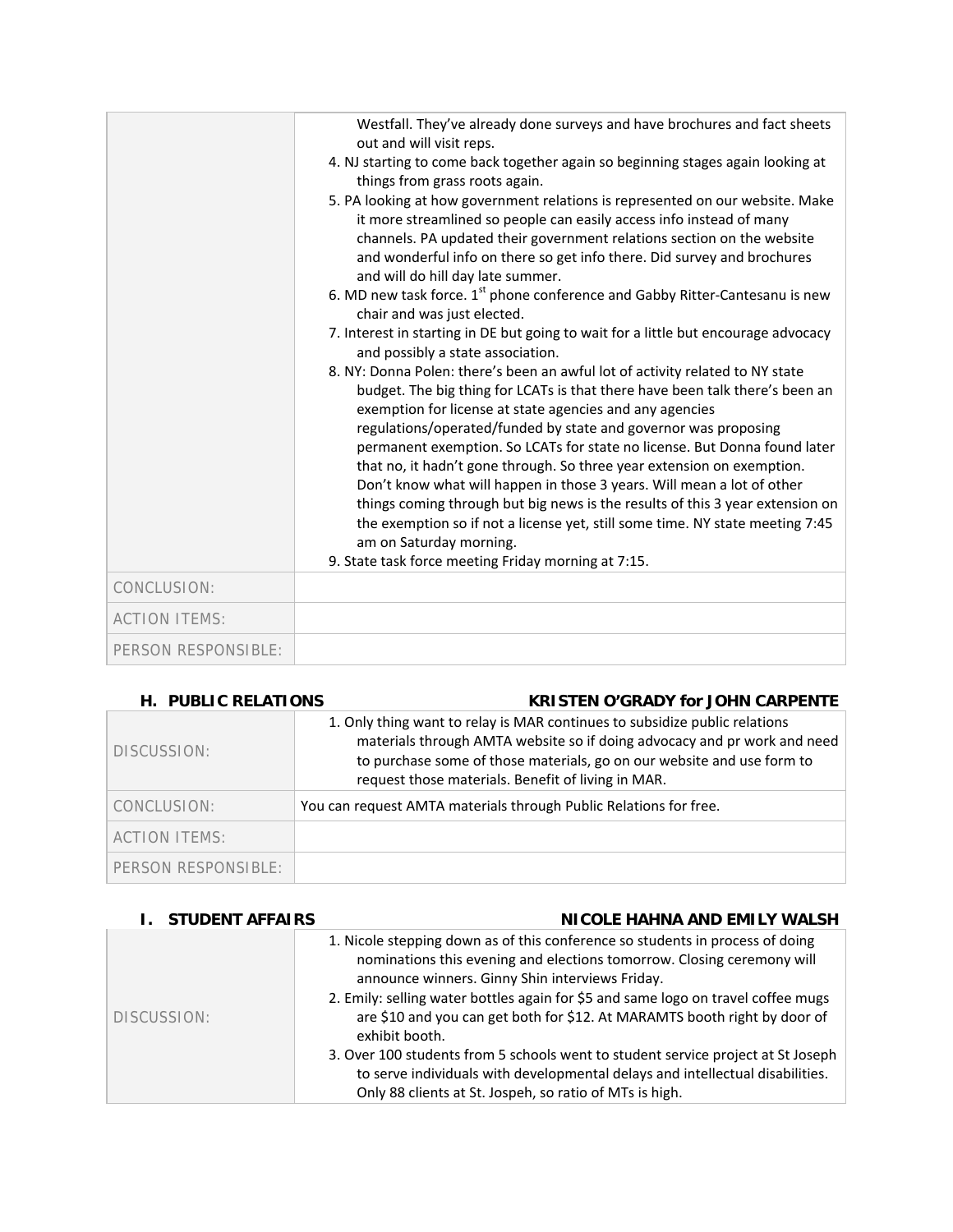|                      | Westfall. They've already done surveys and have brochures and fact sheets<br>out and will visit reps.<br>4. NJ starting to come back together again so beginning stages again looking at<br>things from grass roots again.<br>5. PA looking at how government relations is represented on our website. Make<br>it more streamlined so people can easily access info instead of many<br>channels. PA updated their government relations section on the website<br>and wonderful info on there so get info there. Did survey and brochures<br>and will do hill day late summer.<br>6. MD new task force. 1 <sup>st</sup> phone conference and Gabby Ritter-Cantesanu is new<br>chair and was just elected.<br>7. Interest in starting in DE but going to wait for a little but encourage advocacy<br>and possibly a state association.<br>8. NY: Donna Polen: there's been an awful lot of activity related to NY state<br>budget. The big thing for LCATs is that there have been talk there's been an<br>exemption for license at state agencies and any agencies<br>regulations/operated/funded by state and governor was proposing |
|----------------------|--------------------------------------------------------------------------------------------------------------------------------------------------------------------------------------------------------------------------------------------------------------------------------------------------------------------------------------------------------------------------------------------------------------------------------------------------------------------------------------------------------------------------------------------------------------------------------------------------------------------------------------------------------------------------------------------------------------------------------------------------------------------------------------------------------------------------------------------------------------------------------------------------------------------------------------------------------------------------------------------------------------------------------------------------------------------------------------------------------------------------------------|
|                      | permanent exemption. So LCATs for state no license. But Donna found later<br>that no, it hadn't gone through. So three year extension on exemption.<br>Don't know what will happen in those 3 years. Will mean a lot of other<br>things coming through but big news is the results of this 3 year extension on<br>the exemption so if not a license yet, still some time. NY state meeting 7:45<br>am on Saturday morning.<br>9. State task force meeting Friday morning at 7:15.                                                                                                                                                                                                                                                                                                                                                                                                                                                                                                                                                                                                                                                    |
| CONCLUSION:          |                                                                                                                                                                                                                                                                                                                                                                                                                                                                                                                                                                                                                                                                                                                                                                                                                                                                                                                                                                                                                                                                                                                                      |
| <b>ACTION ITEMS:</b> |                                                                                                                                                                                                                                                                                                                                                                                                                                                                                                                                                                                                                                                                                                                                                                                                                                                                                                                                                                                                                                                                                                                                      |
| PERSON RESPONSIBLE:  |                                                                                                                                                                                                                                                                                                                                                                                                                                                                                                                                                                                                                                                                                                                                                                                                                                                                                                                                                                                                                                                                                                                                      |

| H. PUBLIC RELATIONS  | <b>KRISTEN O'GRADY for JOHN CARPENTE</b>                                                                                                                                                                                                                                               |
|----------------------|----------------------------------------------------------------------------------------------------------------------------------------------------------------------------------------------------------------------------------------------------------------------------------------|
| DISCUSSION:          | 1. Only thing want to relay is MAR continues to subsidize public relations<br>materials through AMTA website so if doing advocacy and pr work and need<br>to purchase some of those materials, go on our website and use form to<br>request those materials. Benefit of living in MAR. |
| CONCLUSION:          | You can request AMTA materials through Public Relations for free.                                                                                                                                                                                                                      |
| <b>ACTION ITEMS:</b> |                                                                                                                                                                                                                                                                                        |
| PERSON RESPONSIBLE:  |                                                                                                                                                                                                                                                                                        |

| <b>STUDENT AFFAIRS</b> | NICOLE HAHNA AND EMILY WALSH                                                                                                                                                                                                                                                                                                                                                                                                                                                                                                                                                                                                   |
|------------------------|--------------------------------------------------------------------------------------------------------------------------------------------------------------------------------------------------------------------------------------------------------------------------------------------------------------------------------------------------------------------------------------------------------------------------------------------------------------------------------------------------------------------------------------------------------------------------------------------------------------------------------|
| DISCUSSION:            | 1. Nicole stepping down as of this conference so students in process of doing<br>nominations this evening and elections tomorrow. Closing ceremony will<br>announce winners. Ginny Shin interviews Friday.<br>2. Emily: selling water bottles again for \$5 and same logo on travel coffee mugs<br>are \$10 and you can get both for \$12. At MARAMTS booth right by door of<br>exhibit booth.<br>3. Over 100 students from 5 schools went to student service project at St Joseph<br>to serve individuals with developmental delays and intellectual disabilities.<br>Only 88 clients at St. Jospeh, so ratio of MTs is high. |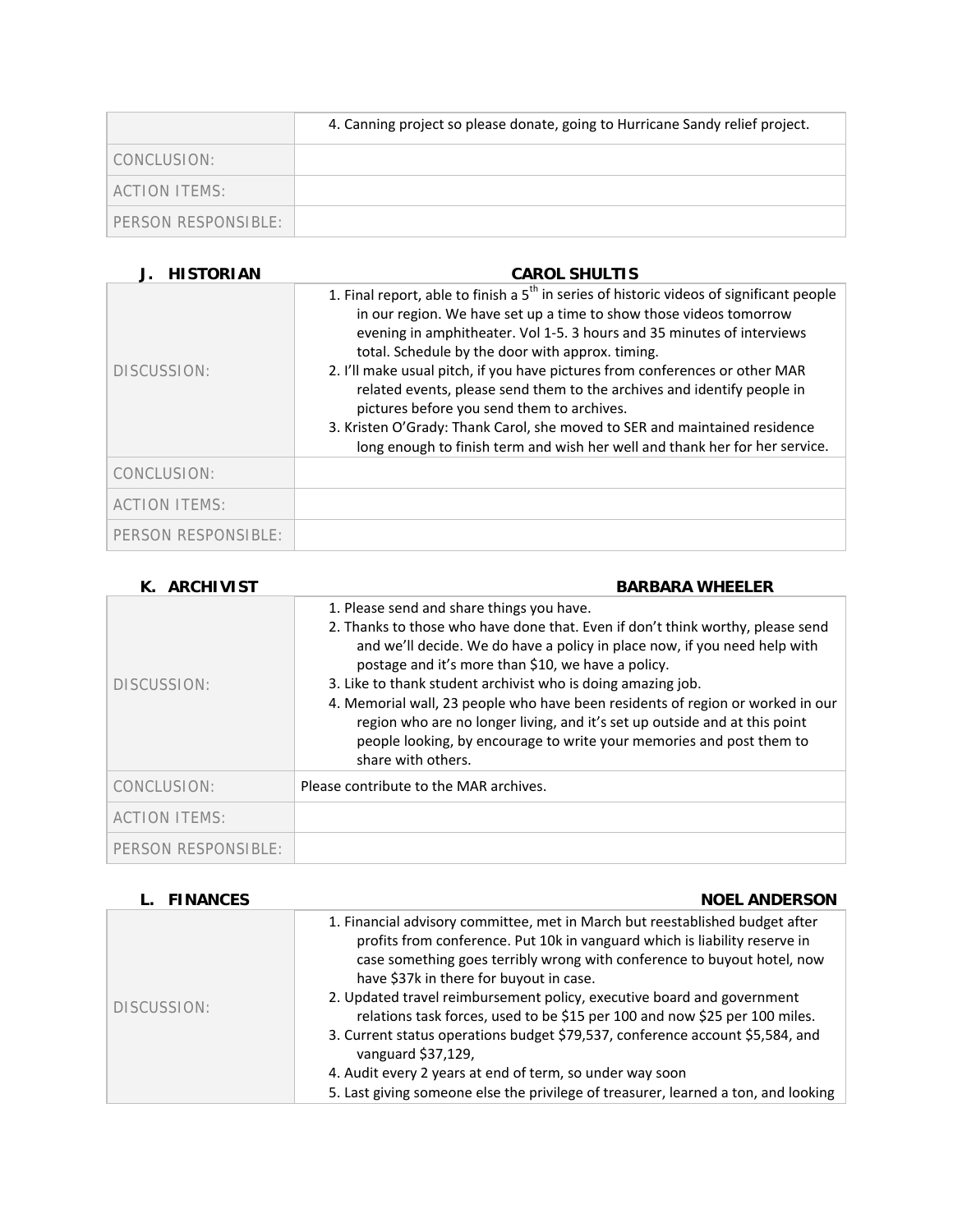|                     | 4. Canning project so please donate, going to Hurricane Sandy relief project. |
|---------------------|-------------------------------------------------------------------------------|
| CONCLUSION:         |                                                                               |
| ACTION ITEMS:       |                                                                               |
| PERSON RESPONSIBLE: |                                                                               |

# **J. HISTORIAN CAROL SHULTIS**

| DISCUSSION:          | 1. Final report, able to finish a $5th$ in series of historic videos of significant people<br>in our region. We have set up a time to show those videos tomorrow<br>evening in amphitheater. Vol 1-5. 3 hours and 35 minutes of interviews<br>total. Schedule by the door with approx. timing.<br>2. I'll make usual pitch, if you have pictures from conferences or other MAR<br>related events, please send them to the archives and identify people in<br>pictures before you send them to archives.<br>3. Kristen O'Grady: Thank Carol, she moved to SER and maintained residence<br>long enough to finish term and wish her well and thank her for her service. |
|----------------------|----------------------------------------------------------------------------------------------------------------------------------------------------------------------------------------------------------------------------------------------------------------------------------------------------------------------------------------------------------------------------------------------------------------------------------------------------------------------------------------------------------------------------------------------------------------------------------------------------------------------------------------------------------------------|
| CONCLUSION:          |                                                                                                                                                                                                                                                                                                                                                                                                                                                                                                                                                                                                                                                                      |
| <b>ACTION ITEMS:</b> |                                                                                                                                                                                                                                                                                                                                                                                                                                                                                                                                                                                                                                                                      |
| PERSON RESPONSIBLE:  |                                                                                                                                                                                                                                                                                                                                                                                                                                                                                                                                                                                                                                                                      |

| <b>ARCHIVIST</b>     | <b>BARBARA WHEELER</b>                                                                                                                                                                                                                                                                                                                                                                                                                                                                                                                                                                       |
|----------------------|----------------------------------------------------------------------------------------------------------------------------------------------------------------------------------------------------------------------------------------------------------------------------------------------------------------------------------------------------------------------------------------------------------------------------------------------------------------------------------------------------------------------------------------------------------------------------------------------|
| DISCUSSION:          | 1. Please send and share things you have.<br>2. Thanks to those who have done that. Even if don't think worthy, please send<br>and we'll decide. We do have a policy in place now, if you need help with<br>postage and it's more than \$10, we have a policy.<br>3. Like to thank student archivist who is doing amazing job.<br>4. Memorial wall, 23 people who have been residents of region or worked in our<br>region who are no longer living, and it's set up outside and at this point<br>people looking, by encourage to write your memories and post them to<br>share with others. |
| CONCLUSION:          | Please contribute to the MAR archives.                                                                                                                                                                                                                                                                                                                                                                                                                                                                                                                                                       |
| <b>ACTION ITEMS:</b> |                                                                                                                                                                                                                                                                                                                                                                                                                                                                                                                                                                                              |
| PERSON RESPONSIBLE:  |                                                                                                                                                                                                                                                                                                                                                                                                                                                                                                                                                                                              |

| L. FINANCES | <b>NOEL ANDERSON</b>                                                                                                                                                                                                                                                                                                                                                                                                                                                                                                                                                                                                                                                                              |
|-------------|---------------------------------------------------------------------------------------------------------------------------------------------------------------------------------------------------------------------------------------------------------------------------------------------------------------------------------------------------------------------------------------------------------------------------------------------------------------------------------------------------------------------------------------------------------------------------------------------------------------------------------------------------------------------------------------------------|
| DISCUSSION: | 1. Financial advisory committee, met in March but reestablished budget after<br>profits from conference. Put 10k in vanguard which is liability reserve in<br>case something goes terribly wrong with conference to buyout hotel, now<br>have \$37k in there for buyout in case.<br>2. Updated travel reimbursement policy, executive board and government<br>relations task forces, used to be \$15 per 100 and now \$25 per 100 miles.<br>3. Current status operations budget \$79,537, conference account \$5,584, and<br>vanguard \$37,129,<br>4. Audit every 2 years at end of term, so under way soon<br>5. Last giving someone else the privilege of treasurer, learned a ton, and looking |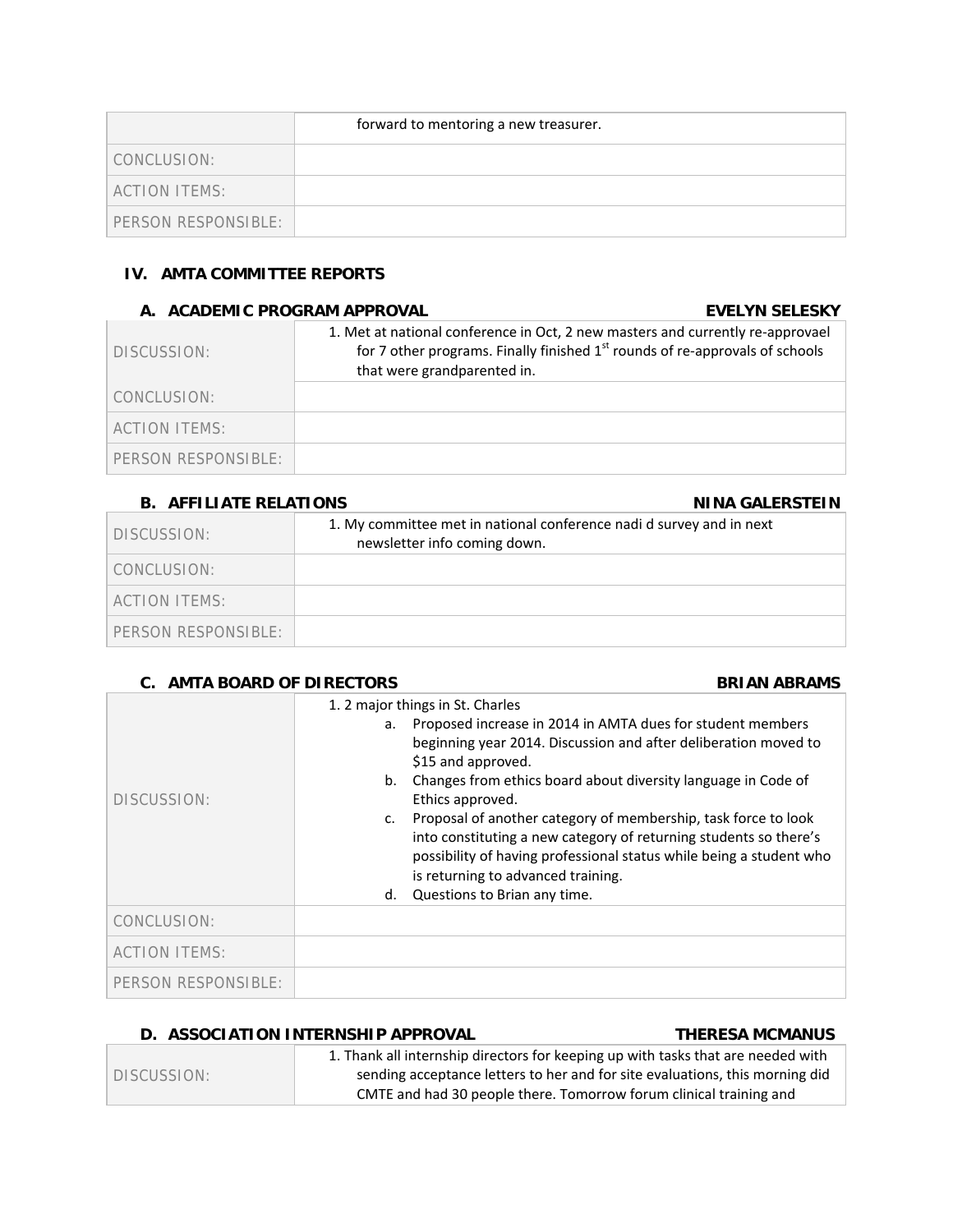|                     | forward to mentoring a new treasurer. |
|---------------------|---------------------------------------|
| CONCLUSION:         |                                       |
| ACTION ITEMS:       |                                       |
| PERSON RESPONSIBLE: |                                       |

# **IV. AMTA COMMITTEE REPORTS**

### **A. ACADEMIC PROGRAM APPROVAL EVELYN SELESKY**

| DISCUSSION:         | 1. Met at national conference in Oct, 2 new masters and currently re-approvael<br>for 7 other programs. Finally finished $1st$ rounds of re-approvals of schools<br>that were grandparented in. |
|---------------------|-------------------------------------------------------------------------------------------------------------------------------------------------------------------------------------------------|
| CONCLUSION:         |                                                                                                                                                                                                 |
| ACTION ITEMS:       |                                                                                                                                                                                                 |
| PERSON RESPONSIBLE: |                                                                                                                                                                                                 |

# **B. AFFILIATE RELATIONS NINA GALERSTEIN**

| DISCUSSION:         | 1. My committee met in national conference nadi d survey and in next<br>newsletter info coming down. |
|---------------------|------------------------------------------------------------------------------------------------------|
| CONCLUSION:         |                                                                                                      |
| ACTION ITEMS:       |                                                                                                      |
| PERSON RESPONSIBLE: |                                                                                                      |

# **C.** AMTA BOARD OF DIRECTORS BRIAN ABRAMS

| DISCUSSION:          | 1. 2 major things in St. Charles<br>Proposed increase in 2014 in AMTA dues for student members<br>a.<br>beginning year 2014. Discussion and after deliberation moved to<br>\$15 and approved.<br>Changes from ethics board about diversity language in Code of<br>b.<br>Ethics approved.<br>Proposal of another category of membership, task force to look<br>c.<br>into constituting a new category of returning students so there's<br>possibility of having professional status while being a student who<br>is returning to advanced training.<br>Questions to Brian any time.<br>d. |
|----------------------|------------------------------------------------------------------------------------------------------------------------------------------------------------------------------------------------------------------------------------------------------------------------------------------------------------------------------------------------------------------------------------------------------------------------------------------------------------------------------------------------------------------------------------------------------------------------------------------|
| CONCLUSION:          |                                                                                                                                                                                                                                                                                                                                                                                                                                                                                                                                                                                          |
| <b>ACTION ITEMS:</b> |                                                                                                                                                                                                                                                                                                                                                                                                                                                                                                                                                                                          |
| PERSON RESPONSIBLE:  |                                                                                                                                                                                                                                                                                                                                                                                                                                                                                                                                                                                          |

### D. ASSOCIATION INTERNSHIP APPROVAL **THERESA MCMANUS**

|             | 1. Thank all internship directors for keeping up with tasks that are needed with |
|-------------|----------------------------------------------------------------------------------|
| DISCUSSION: | sending acceptance letters to her and for site evaluations, this morning did     |
|             | CMTE and had 30 people there. Tomorrow forum clinical training and               |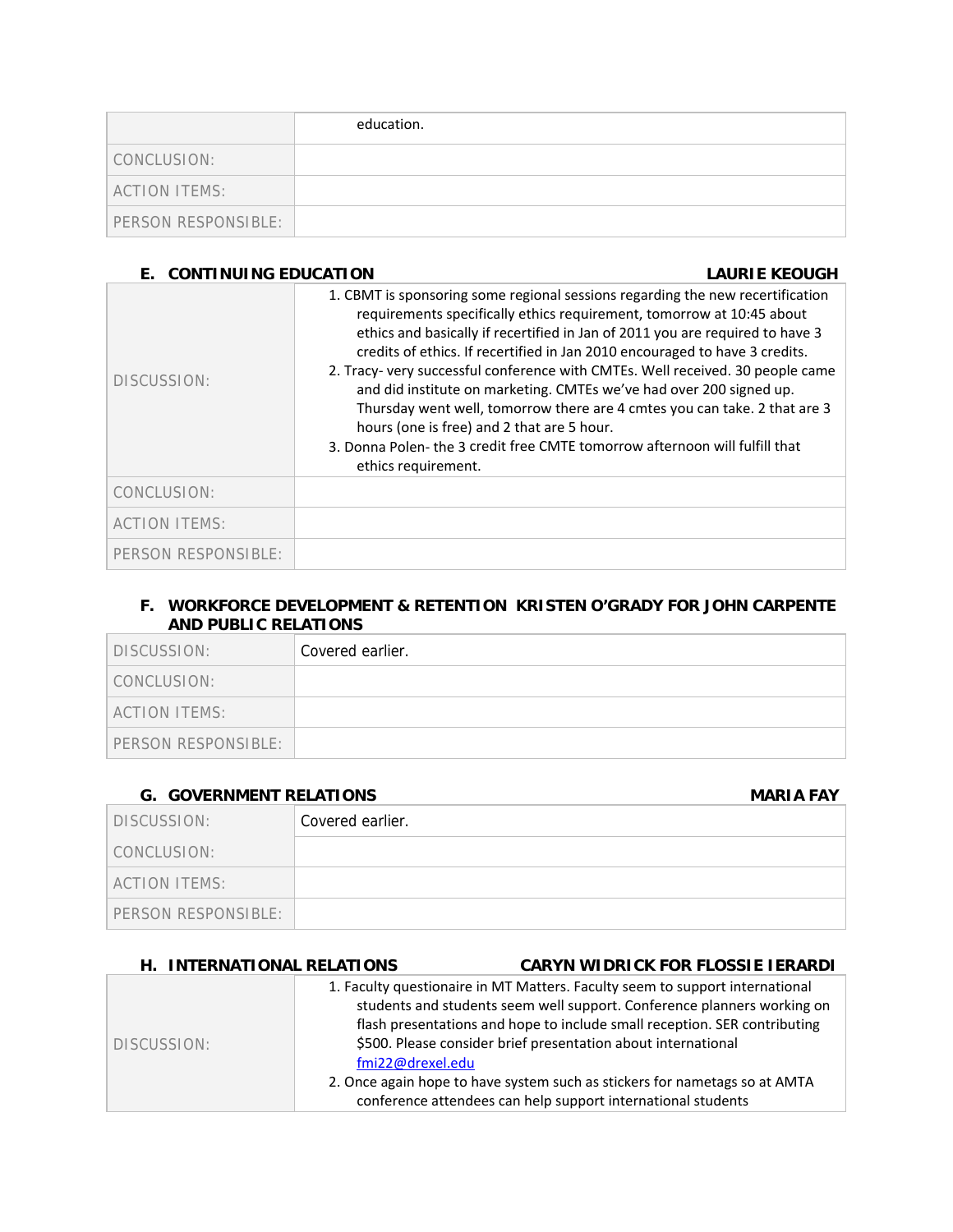|                      | education. |
|----------------------|------------|
| CONCLUSION:          |            |
| <b>ACTION ITEMS:</b> |            |
| PERSON RESPONSIBLE:  |            |

# **E. CONTINUING EDUCATION LAURIE KEOUGH**

| DISCUSSION:          | 1. CBMT is sponsoring some regional sessions regarding the new recertification<br>requirements specifically ethics requirement, tomorrow at 10:45 about<br>ethics and basically if recertified in Jan of 2011 you are required to have 3<br>credits of ethics. If recertified in Jan 2010 encouraged to have 3 credits.<br>2. Tracy- very successful conference with CMTEs. Well received. 30 people came<br>and did institute on marketing. CMTEs we've had over 200 signed up.<br>Thursday went well, tomorrow there are 4 cmtes you can take. 2 that are 3<br>hours (one is free) and 2 that are 5 hour.<br>3. Donna Polen- the 3 credit free CMTE tomorrow afternoon will fulfill that<br>ethics requirement. |
|----------------------|-------------------------------------------------------------------------------------------------------------------------------------------------------------------------------------------------------------------------------------------------------------------------------------------------------------------------------------------------------------------------------------------------------------------------------------------------------------------------------------------------------------------------------------------------------------------------------------------------------------------------------------------------------------------------------------------------------------------|
| CONCLUSION:          |                                                                                                                                                                                                                                                                                                                                                                                                                                                                                                                                                                                                                                                                                                                   |
| <b>ACTION ITEMS:</b> |                                                                                                                                                                                                                                                                                                                                                                                                                                                                                                                                                                                                                                                                                                                   |
| PERSON RESPONSIBLE:  |                                                                                                                                                                                                                                                                                                                                                                                                                                                                                                                                                                                                                                                                                                                   |

### **F. WORKFORCE DEVELOPMENT & RETENTION KRISTEN O'GRADY FOR JOHN CARPENTE AND PUBLIC RELATIONS**

| DISCUSSION:          | Covered earlier. |
|----------------------|------------------|
| CONCLUSION:          |                  |
| <b>ACTION ITEMS:</b> |                  |
| PERSON RESPONSIBLE:  |                  |

# **G.** GOVERNMENT RELATIONS **MARIA FAY**

| DISCUSSION:         | Covered earlier. |
|---------------------|------------------|
| CONCLUSION:         |                  |
| ACTION ITEMS:       |                  |
| PERSON RESPONSIBLE: |                  |

| H. INTERNATIONAL RELATIONS |                  | <b>CARYN WIDRICK FOR FLOSSIE IERARDI</b>                                                                                                                                                                                                                                                                                                                                                                                                            |
|----------------------------|------------------|-----------------------------------------------------------------------------------------------------------------------------------------------------------------------------------------------------------------------------------------------------------------------------------------------------------------------------------------------------------------------------------------------------------------------------------------------------|
| DISCUSSION:                | fmi22@drexel.edu | 1. Faculty questionaire in MT Matters. Faculty seem to support international<br>students and students seem well support. Conference planners working on<br>flash presentations and hope to include small reception. SER contributing<br>\$500. Please consider brief presentation about international<br>2. Once again hope to have system such as stickers for nametags so at AMTA<br>conference attendees can help support international students |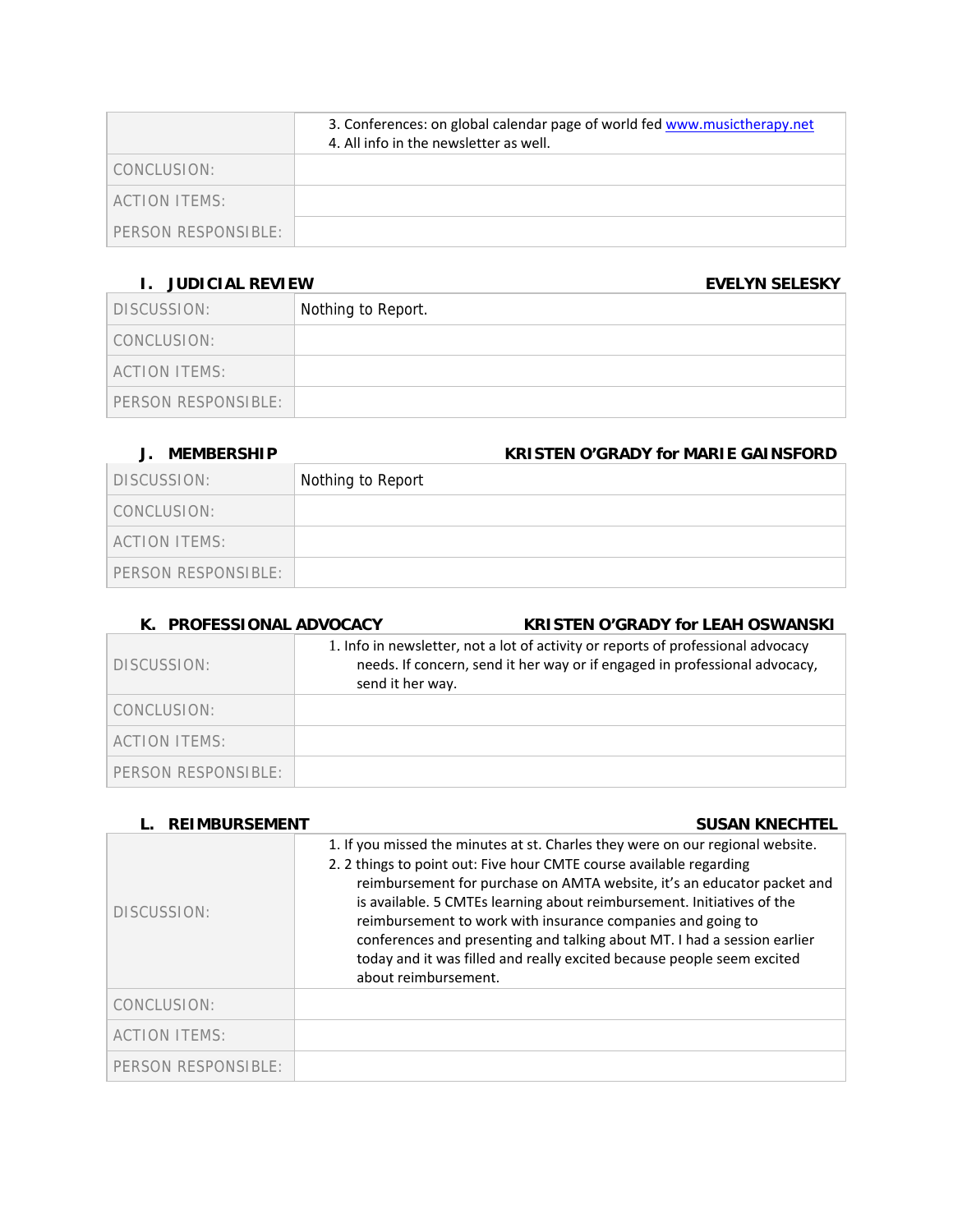|                     | 3. Conferences: on global calendar page of world fed www.musictherapy.net<br>4. All info in the newsletter as well. |
|---------------------|---------------------------------------------------------------------------------------------------------------------|
| CONCLUSION:         |                                                                                                                     |
| ACTION ITEMS:       |                                                                                                                     |
| PERSON RESPONSIBLE: |                                                                                                                     |

# **I. JUDICIAL REVIEW EVELYN SELESKY**

| DISCUSSION:          | Nothing to Report. |
|----------------------|--------------------|
| CONCLUSION:          |                    |
| <b>ACTION ITEMS:</b> |                    |
| PERSON RESPONSIBLE:  |                    |

# **J. MEMBERSHIP KRISTEN O'GRADY for MARIE GAINSFORD**

| DISCUSSION:          | Nothing to Report |
|----------------------|-------------------|
| CONCLUSION:          |                   |
| <b>ACTION ITEMS:</b> |                   |
| PERSON RESPONSIBLE:  |                   |

# **K. PROFESSIONAL ADVOCACY KRISTEN O'GRADY for LEAH OSWANSKI**

| DISCUSSION:         | 1. Info in newsletter, not a lot of activity or reports of professional advocacy<br>needs. If concern, send it her way or if engaged in professional advocacy,<br>send it her way. |
|---------------------|------------------------------------------------------------------------------------------------------------------------------------------------------------------------------------|
| CONCLUSION:         |                                                                                                                                                                                    |
| ACTION ITEMS:       |                                                                                                                                                                                    |
| PERSON RESPONSIBLE: |                                                                                                                                                                                    |

| <b>REIMBURSEMENT</b> | <b>SUSAN KNECHTEL</b>                                                                                                                                                                                                                                                                                                                                                                                                                                                                                                                                   |
|----------------------|---------------------------------------------------------------------------------------------------------------------------------------------------------------------------------------------------------------------------------------------------------------------------------------------------------------------------------------------------------------------------------------------------------------------------------------------------------------------------------------------------------------------------------------------------------|
| DISCUSSION:          | 1. If you missed the minutes at st. Charles they were on our regional website.<br>2. 2 things to point out: Five hour CMTE course available regarding<br>reimbursement for purchase on AMTA website, it's an educator packet and<br>is available. 5 CMTEs learning about reimbursement. Initiatives of the<br>reimbursement to work with insurance companies and going to<br>conferences and presenting and talking about MT. I had a session earlier<br>today and it was filled and really excited because people seem excited<br>about reimbursement. |
| CONCLUSION:          |                                                                                                                                                                                                                                                                                                                                                                                                                                                                                                                                                         |
| <b>ACTION ITEMS:</b> |                                                                                                                                                                                                                                                                                                                                                                                                                                                                                                                                                         |
| PERSON RESPONSIBLE:  |                                                                                                                                                                                                                                                                                                                                                                                                                                                                                                                                                         |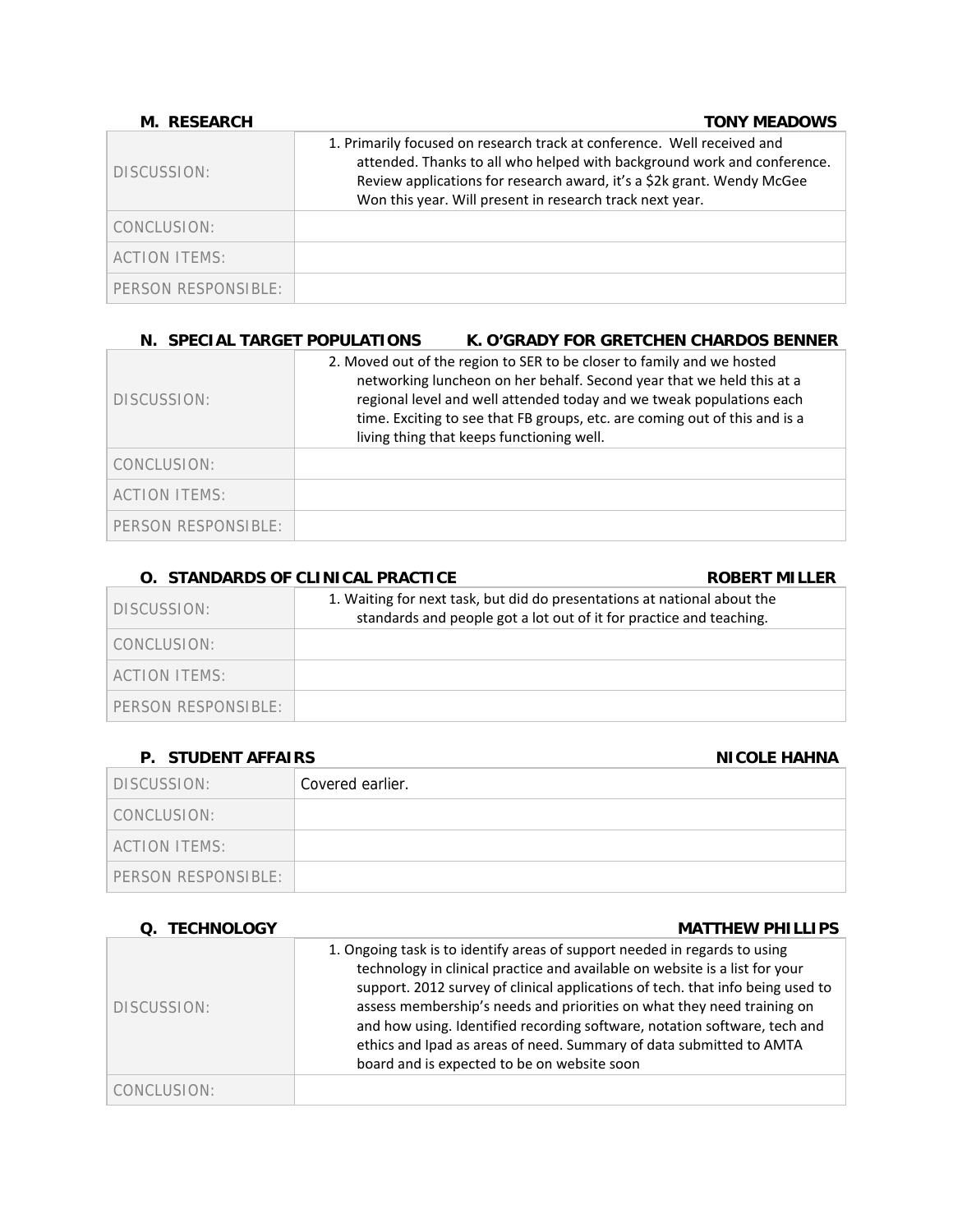| M. RESEARCH         | <b>TONY MEADOWS</b>                                                                                                                                                                                                                                                                      |
|---------------------|------------------------------------------------------------------------------------------------------------------------------------------------------------------------------------------------------------------------------------------------------------------------------------------|
| DISCUSSION:         | 1. Primarily focused on research track at conference. Well received and<br>attended. Thanks to all who helped with background work and conference.<br>Review applications for research award, it's a \$2k grant. Wendy McGee<br>Won this year. Will present in research track next year. |
| CONCLUSION:         |                                                                                                                                                                                                                                                                                          |
| ACTION ITEMS:       |                                                                                                                                                                                                                                                                                          |
| PERSON RESPONSIBLE: |                                                                                                                                                                                                                                                                                          |

### **N. SPECIAL TARGET POPULATIONS K. O'GRADY FOR GRETCHEN CHARDOS BENNER**

| DISCUSSION:          | 2. Moved out of the region to SER to be closer to family and we hosted<br>networking luncheon on her behalf. Second year that we held this at a<br>regional level and well attended today and we tweak populations each<br>time. Exciting to see that FB groups, etc. are coming out of this and is a<br>living thing that keeps functioning well. |
|----------------------|----------------------------------------------------------------------------------------------------------------------------------------------------------------------------------------------------------------------------------------------------------------------------------------------------------------------------------------------------|
| CONCLUSION:          |                                                                                                                                                                                                                                                                                                                                                    |
| <b>ACTION ITEMS:</b> |                                                                                                                                                                                                                                                                                                                                                    |
| PERSON RESPONSIBLE:  |                                                                                                                                                                                                                                                                                                                                                    |

# **O.** STANDARDS OF CLINICAL PRACTICE **ROBERT MILLER** DISCUSSION: 1. Waiting for next task, but did do presentations at national about the standards and people got a lot out of it for practice and teaching. CONCLUSION: ACTION ITEMS: PERSON RESPONSIBLE:

# **P.** STUDENT AFFAIRS **NICOLE HAHNA**

| 1. 919PLNI AII AIINY | NIVYLL IIAIIWA   |
|----------------------|------------------|
| DISCUSSION:          | Covered earlier. |
| CONCLUSION:          |                  |
| ACTION ITEMS:        |                  |
| PERSON RESPONSIBLE:  |                  |

### **Q. TECHNOLOGY MATTHEW PHILLIPS**

| DISCUSSION: | 1. Ongoing task is to identify areas of support needed in regards to using<br>technology in clinical practice and available on website is a list for your<br>support. 2012 survey of clinical applications of tech. that info being used to<br>assess membership's needs and priorities on what they need training on<br>and how using. Identified recording software, notation software, tech and<br>ethics and Ipad as areas of need. Summary of data submitted to AMTA<br>board and is expected to be on website soon |
|-------------|--------------------------------------------------------------------------------------------------------------------------------------------------------------------------------------------------------------------------------------------------------------------------------------------------------------------------------------------------------------------------------------------------------------------------------------------------------------------------------------------------------------------------|
| CONCLUSION: |                                                                                                                                                                                                                                                                                                                                                                                                                                                                                                                          |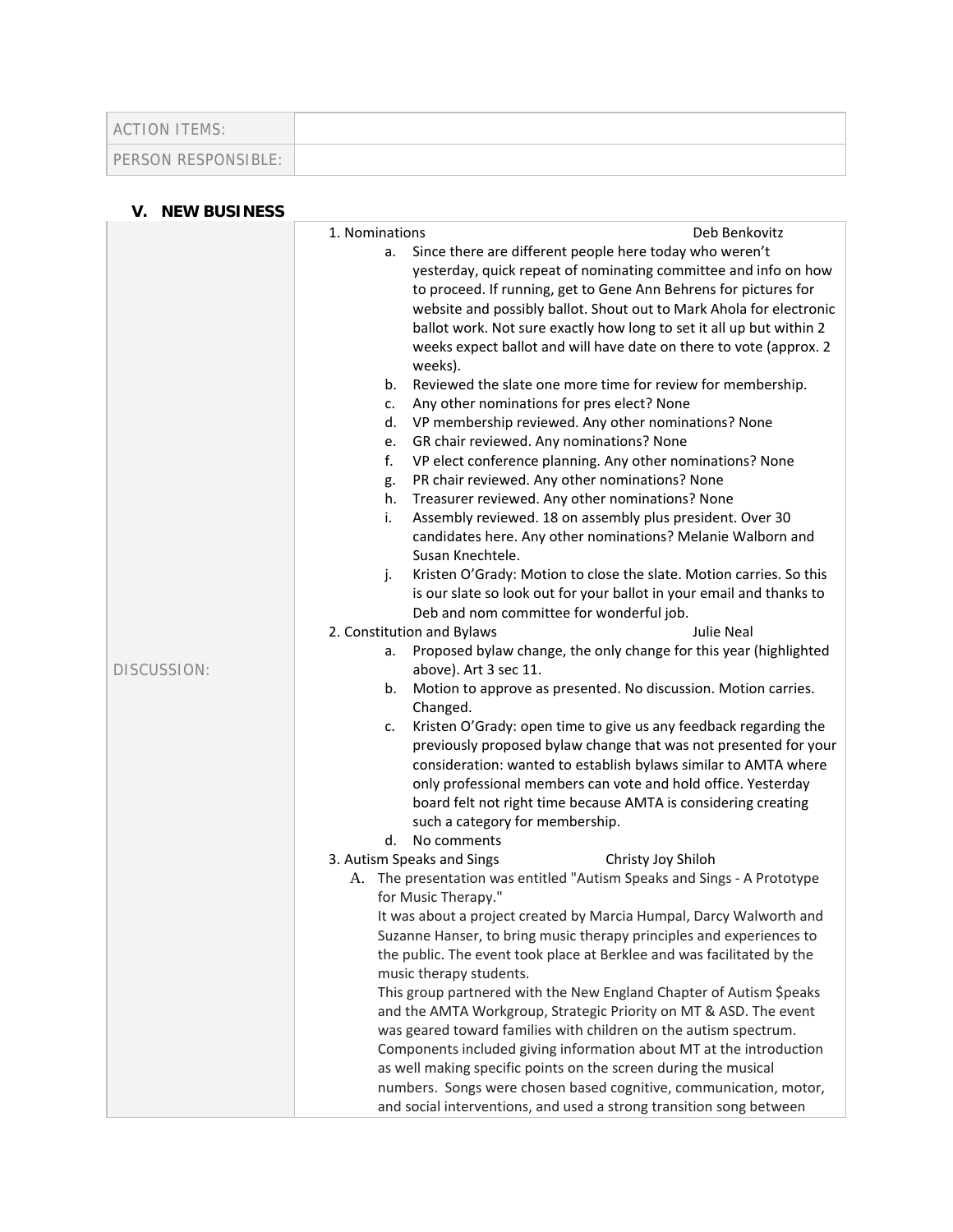| ACTION ITEMS:       |  |
|---------------------|--|
| PERSON RESPONSIBLE: |  |

# **V. NEW BUSINESS**

| 1. Nominations<br>Deb Benkovitz                                                                             |  |
|-------------------------------------------------------------------------------------------------------------|--|
|                                                                                                             |  |
| Since there are different people here today who weren't<br>a.                                               |  |
| yesterday, quick repeat of nominating committee and info on how                                             |  |
| to proceed. If running, get to Gene Ann Behrens for pictures for                                            |  |
| website and possibly ballot. Shout out to Mark Ahola for electronic                                         |  |
| ballot work. Not sure exactly how long to set it all up but within 2                                        |  |
| weeks expect ballot and will have date on there to vote (approx. 2                                          |  |
| weeks).                                                                                                     |  |
| Reviewed the slate one more time for review for membership.<br>b.                                           |  |
| Any other nominations for pres elect? None<br>c.                                                            |  |
| VP membership reviewed. Any other nominations? None<br>d.                                                   |  |
| GR chair reviewed. Any nominations? None<br>e.<br>f.                                                        |  |
| VP elect conference planning. Any other nominations? None<br>PR chair reviewed. Any other nominations? None |  |
| g.<br>Treasurer reviewed. Any other nominations? None<br>h.                                                 |  |
| Assembly reviewed. 18 on assembly plus president. Over 30<br>i.                                             |  |
| candidates here. Any other nominations? Melanie Walborn and                                                 |  |
| Susan Knechtele.                                                                                            |  |
| Kristen O'Grady: Motion to close the slate. Motion carries. So this<br>j.                                   |  |
| is our slate so look out for your ballot in your email and thanks to                                        |  |
| Deb and nom committee for wonderful job.                                                                    |  |
| 2. Constitution and Bylaws<br><b>Julie Neal</b>                                                             |  |
| Proposed bylaw change, the only change for this year (highlighted<br>а.                                     |  |
| above). Art 3 sec 11.<br>DISCUSSION:                                                                        |  |
| Motion to approve as presented. No discussion. Motion carries.<br>b.                                        |  |
| Changed.                                                                                                    |  |
| Kristen O'Grady: open time to give us any feedback regarding the<br>c.                                      |  |
| previously proposed bylaw change that was not presented for your                                            |  |
| consideration: wanted to establish bylaws similar to AMTA where                                             |  |
| only professional members can vote and hold office. Yesterday                                               |  |
| board felt not right time because AMTA is considering creating                                              |  |
| such a category for membership.                                                                             |  |
| d. No comments                                                                                              |  |
| 3. Autism Speaks and Sings<br>Christy Joy Shiloh                                                            |  |
| The presentation was entitled "Autism Speaks and Sings - A Prototype<br>А.<br>for Music Therapy."           |  |
| It was about a project created by Marcia Humpal, Darcy Walworth and                                         |  |
| Suzanne Hanser, to bring music therapy principles and experiences to                                        |  |
| the public. The event took place at Berklee and was facilitated by the                                      |  |
| music therapy students.                                                                                     |  |
| This group partnered with the New England Chapter of Autism \$peaks                                         |  |
| and the AMTA Workgroup, Strategic Priority on MT & ASD. The event                                           |  |
| was geared toward families with children on the autism spectrum.                                            |  |
| Components included giving information about MT at the introduction                                         |  |
| as well making specific points on the screen during the musical                                             |  |
| numbers. Songs were chosen based cognitive, communication, motor,                                           |  |
| and social interventions, and used a strong transition song between                                         |  |